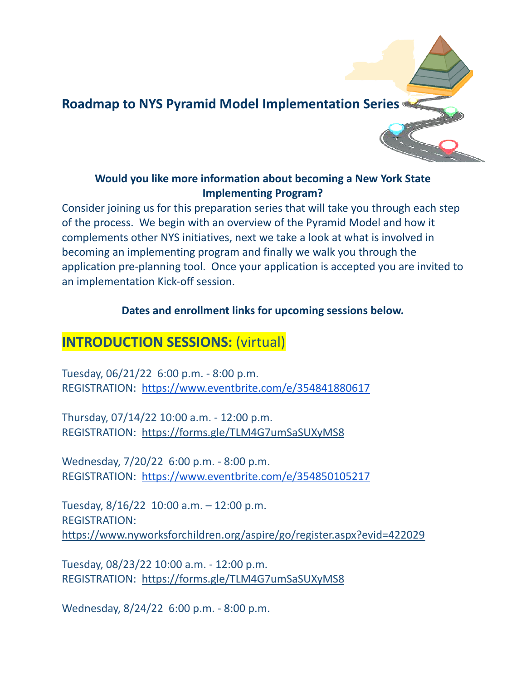

#### **Would you like more information about becoming a New York State Implementing Program?**

Consider joining us for this preparation series that will take you through each step of the process. We begin with an overview of the Pyramid Model and how it complements other NYS initiatives, next we take a look at what is involved in becoming an implementing program and finally we walk you through the application pre-planning tool. Once your application is accepted you are invited to an implementation Kick-off session.

#### **Dates and enrollment links for upcoming sessions below.**

# **INTRODUCTION SESSIONS:** (virtual)

Tuesday, 06/21/22 6:00 p.m. - 8:00 p.m. REGISTRATION: <https://www.eventbrite.com/e/354841880617>

Thursday, 07/14/22 10:00 a.m. - 12:00 p.m. REGISTRATION: <https://forms.gle/TLM4G7umSaSUXyMS8>

Wednesday, 7/20/22 6:00 p.m. - 8:00 p.m. REGISTRATION: <https://www.eventbrite.com/e/354850105217>

Tuesday, 8/16/22 10:00 a.m. – 12:00 p.m. REGISTRATION: <https://www.nyworksforchildren.org/aspire/go/register.aspx?evid=422029>

Tuesday, 08/23/22 10:00 a.m. - 12:00 p.m. REGISTRATION: <https://forms.gle/TLM4G7umSaSUXyMS8>

Wednesday, 8/24/22 6:00 p.m. - 8:00 p.m.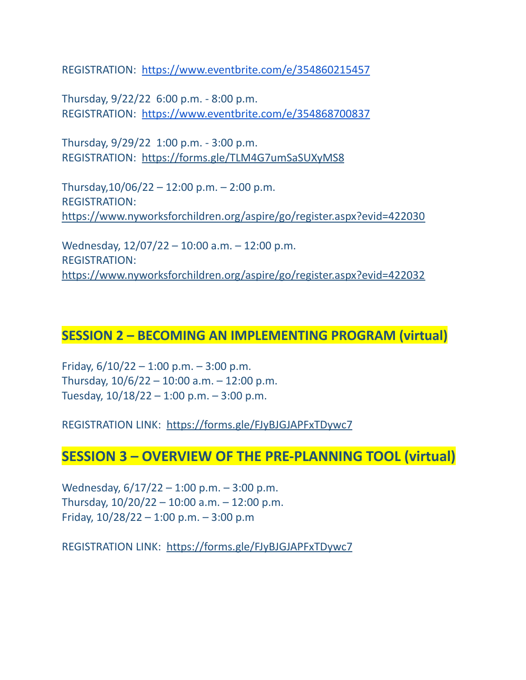REGISTRATION: <https://www.eventbrite.com/e/354860215457>

Thursday, 9/22/22 6:00 p.m. - 8:00 p.m. REGISTRATION: <https://www.eventbrite.com/e/354868700837>

Thursday, 9/29/22 1:00 p.m. - 3:00 p.m. REGISTRATION: <https://forms.gle/TLM4G7umSaSUXyMS8>

Thursday,  $10/06/22 - 12:00$  p.m.  $- 2:00$  p.m. REGISTRATION: <https://www.nyworksforchildren.org/aspire/go/register.aspx?evid=422030>

Wednesday, 12/07/22 – 10:00 a.m. – 12:00 p.m. REGISTRATION: <https://www.nyworksforchildren.org/aspire/go/register.aspx?evid=422032>

### **SESSION 2 – BECOMING AN IMPLEMENTING PROGRAM (virtual)**

Friday,  $6/10/22 - 1:00$  p.m.  $-3:00$  p.m. Thursday,  $10/6/22 - 10:00$  a.m.  $- 12:00$  p.m. Tuesday,  $10/18/22 - 1:00$  p.m.  $-3:00$  p.m.

REGISTRATION LINK: <https://forms.gle/FJyBJGJAPFxTDywc7>

### **SESSION 3 – OVERVIEW OF THE PRE-PLANNING TOOL (virtual)**

Wednesday, 6/17/22 – 1:00 p.m. – 3:00 p.m. Thursday,  $10/20/22 - 10:00$  a.m.  $- 12:00$  p.m. Friday,  $10/28/22 - 1:00$  p.m.  $-3:00$  p.m.

REGISTRATION LINK: <https://forms.gle/FJyBJGJAPFxTDywc7>